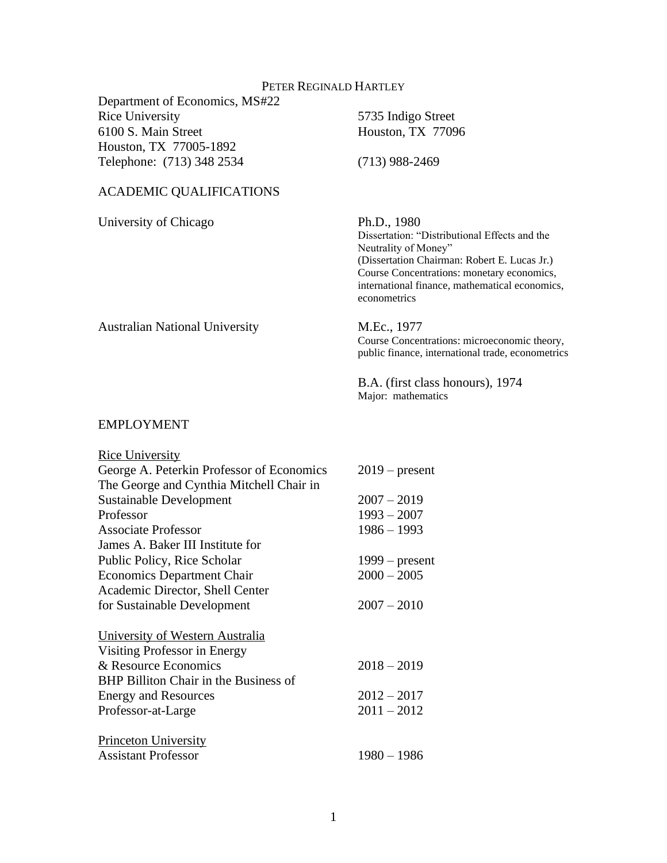## PETER REGINALD HARTLEY

Department of Economics, MS#22 Rice University 5735 Indigo Street 6100 S. Main Street Houston, TX 77096 Houston, TX 77005-1892 Telephone: (713) 348 2534 (713) 988-2469

## ACADEMIC QUALIFICATIONS

University of Chicago Ph.D., 1980

Dissertation: "Distributional Effects and the Neutrality of Money" (Dissertation Chairman: Robert E. Lucas Jr.) Course Concentrations: monetary economics, international finance, mathematical economics, econometrics

Australian National University M.Ec., 1977 Course Concentrations: microeconomic theory, public finance, international trade, econometrics

> B.A. (first class honours), 1974 Major: mathematics

#### EMPLOYMENT

| <b>Rice University</b>                    |                  |
|-------------------------------------------|------------------|
| George A. Peterkin Professor of Economics | $2019$ – present |
| The George and Cynthia Mitchell Chair in  |                  |
| <b>Sustainable Development</b>            | $2007 - 2019$    |
| Professor                                 | $1993 - 2007$    |
| Associate Professor                       | $1986 - 1993$    |
| James A. Baker III Institute for          |                  |
| Public Policy, Rice Scholar               | $1999 - present$ |
| <b>Economics Department Chair</b>         | $2000 - 2005$    |
| Academic Director, Shell Center           |                  |
| for Sustainable Development               | $2007 - 2010$    |
| University of Western Australia           |                  |
| Visiting Professor in Energy              |                  |
| & Resource Economics                      | $2018 - 2019$    |
| BHP Billiton Chair in the Business of     |                  |
| <b>Energy and Resources</b>               | $2012 - 2017$    |
| Professor-at-Large                        | $2011 - 2012$    |
| <b>Princeton University</b>               |                  |
| <b>Assistant Professor</b>                | $1980 - 1986$    |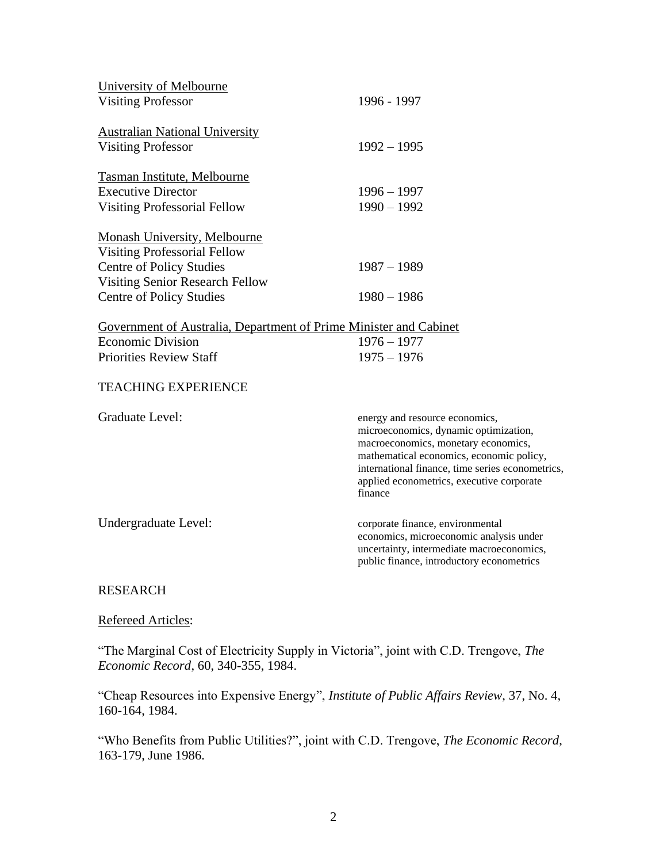| University of Melbourne                                           |                                                                                                                                                                                                                                                                        |
|-------------------------------------------------------------------|------------------------------------------------------------------------------------------------------------------------------------------------------------------------------------------------------------------------------------------------------------------------|
| <b>Visiting Professor</b>                                         | 1996 - 1997                                                                                                                                                                                                                                                            |
| <b>Australian National University</b>                             |                                                                                                                                                                                                                                                                        |
| <b>Visiting Professor</b>                                         | $1992 - 1995$                                                                                                                                                                                                                                                          |
| <b>Tasman Institute, Melbourne</b>                                |                                                                                                                                                                                                                                                                        |
| <b>Executive Director</b>                                         | $1996 - 1997$                                                                                                                                                                                                                                                          |
| <b>Visiting Professorial Fellow</b>                               | $1990 - 1992$                                                                                                                                                                                                                                                          |
| <b>Monash University, Melbourne</b>                               |                                                                                                                                                                                                                                                                        |
| <b>Visiting Professorial Fellow</b>                               |                                                                                                                                                                                                                                                                        |
| <b>Centre of Policy Studies</b>                                   | $1987 - 1989$                                                                                                                                                                                                                                                          |
| <b>Visiting Senior Research Fellow</b>                            |                                                                                                                                                                                                                                                                        |
| <b>Centre of Policy Studies</b>                                   | $1980 - 1986$                                                                                                                                                                                                                                                          |
| Government of Australia, Department of Prime Minister and Cabinet |                                                                                                                                                                                                                                                                        |
| <b>Economic Division</b>                                          | $1976 - 1977$                                                                                                                                                                                                                                                          |
| <b>Priorities Review Staff</b>                                    | $1975 - 1976$                                                                                                                                                                                                                                                          |
| <b>TEACHING EXPERIENCE</b>                                        |                                                                                                                                                                                                                                                                        |
| Graduate Level:                                                   | energy and resource economics,<br>microeconomics, dynamic optimization,<br>macroeconomics, monetary economics,<br>mathematical economics, economic policy,<br>international finance, time series econometrics,<br>applied econometrics, executive corporate<br>finance |
| Undergraduate Level:                                              | corporate finance, environmental<br>economics, microeconomic analysis under<br>uncertainty, intermediate macroeconomics,<br>public finance, introductory econometrics                                                                                                  |
| <b>DECEIP</b>                                                     |                                                                                                                                                                                                                                                                        |

## RESEARCH

# Refereed Articles:

"The Marginal Cost of Electricity Supply in Victoria", joint with C.D. Trengove, *The Economic Record*, 60, 340-355, 1984.

"Cheap Resources into Expensive Energy", *Institute of Public Affairs Review*, 37, No. 4, 160-164, 1984.

"Who Benefits from Public Utilities?", joint with C.D. Trengove, *The Economic Record*, 163-179, June 1986.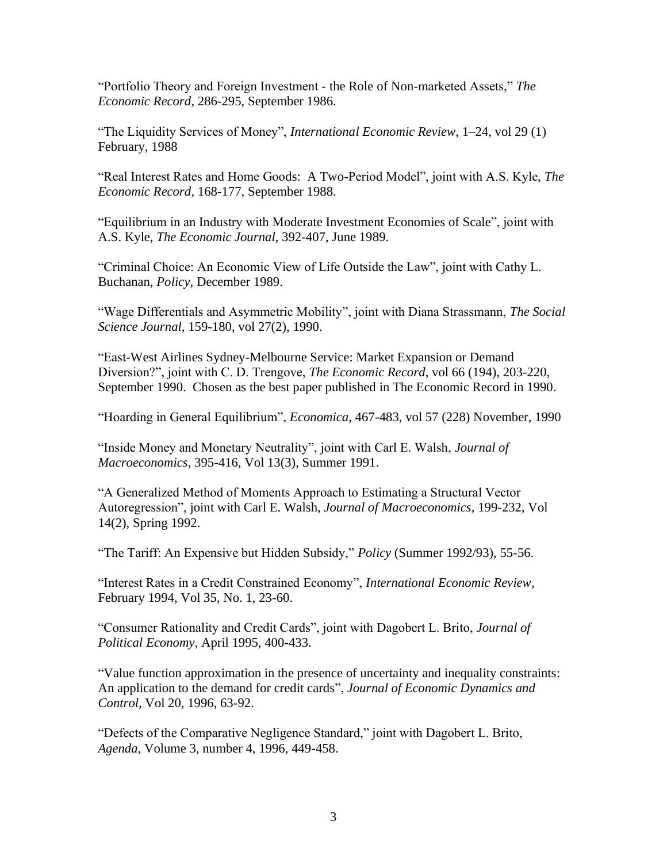"Portfolio Theory and Foreign Investment - the Role of Non-marketed Assets," *The Economic Record*, 286-295, September 1986.

"The Liquidity Services of Money", *International Economic Review*, 1–24, vol 29 (1) February, 1988

"Real Interest Rates and Home Goods: A Two-Period Model", joint with A.S. Kyle, *The Economic Record*, 168-177, September 1988.

"Equilibrium in an Industry with Moderate Investment Economies of Scale", joint with A.S. Kyle, *The Economic Journal*, 392-407, June 1989.

"Criminal Choice: An Economic View of Life Outside the Law", joint with Cathy L. Buchanan, *Policy*, December 1989.

"Wage Differentials and Asymmetric Mobility", joint with Diana Strassmann, *The Social Science Journal*, 159-180, vol 27(2), 1990.

"East-West Airlines Sydney-Melbourne Service: Market Expansion or Demand Diversion?", joint with C. D. Trengove, *The Economic Record*, vol 66 (194), 203-220, September 1990. Chosen as the best paper published in The Economic Record in 1990.

"Hoarding in General Equilibrium", *Economica*, 467-483, vol 57 (228) November, 1990

"Inside Money and Monetary Neutrality", joint with Carl E. Walsh, *Journal of Macroeconomics*, 395-416, Vol 13(3), Summer 1991.

"A Generalized Method of Moments Approach to Estimating a Structural Vector Autoregression", joint with Carl E. Walsh, *Journal of Macroeconomics*, 199-232, Vol 14(2), Spring 1992.

"The Tariff: An Expensive but Hidden Subsidy," *Policy* (Summer 1992/93), 55-56.

"Interest Rates in a Credit Constrained Economy", *International Economic Review*, February 1994, Vol 35, No. 1, 23-60.

"Consumer Rationality and Credit Cards", joint with Dagobert L. Brito, *Journal of Political Economy*, April 1995, 400-433.

"Value function approximation in the presence of uncertainty and inequality constraints: An application to the demand for credit cards", *Journal of Economic Dynamics and Control*, Vol 20, 1996, 63-92.

"Defects of the Comparative Negligence Standard," joint with Dagobert L. Brito, *Agenda*, Volume 3, number 4, 1996, 449-458.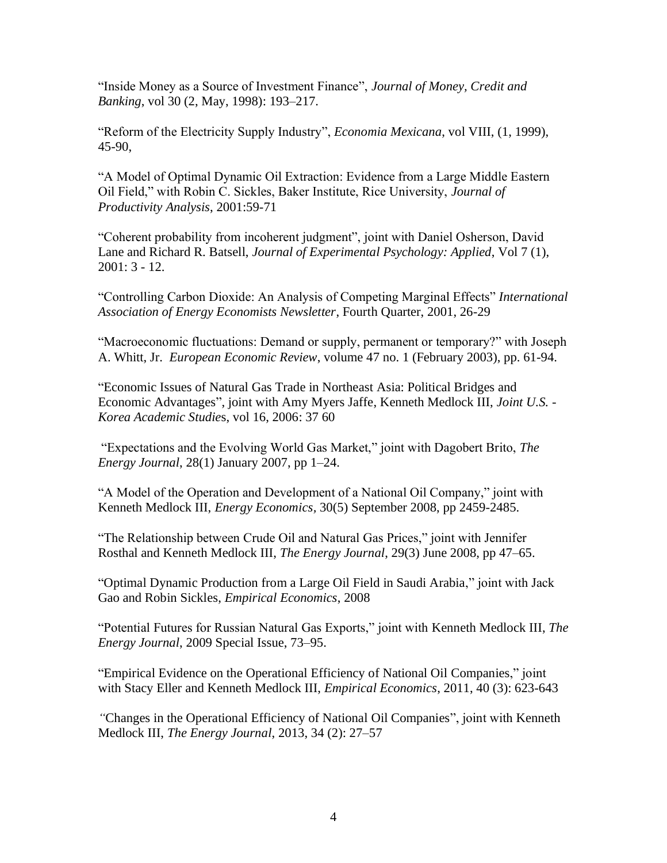"Inside Money as a Source of Investment Finance", *Journal of Money, Credit and Banking*, vol 30 (2, May, 1998): 193–217.

"Reform of the Electricity Supply Industry", *Economia Mexicana*, vol VIII, (1, 1999), 45-90,

"A Model of Optimal Dynamic Oil Extraction: Evidence from a Large Middle Eastern Oil Field," with Robin C. Sickles, Baker Institute, Rice University, *Journal of Productivity Analysis*, 2001:59-71

"Coherent probability from incoherent judgment", joint with Daniel Osherson, David Lane and Richard R. Batsell, *Journal of Experimental Psychology: Applied*, Vol 7 (1), 2001: 3 - 12.

"Controlling Carbon Dioxide: An Analysis of Competing Marginal Effects" *International Association of Energy Economists Newsletter*, Fourth Quarter, 2001, 26-29

"Macroeconomic fluctuations: Demand or supply, permanent or temporary?" with Joseph A. Whitt, Jr. *European Economic Review*, volume 47 no. 1 (February 2003), pp. 61-94.

"Economic Issues of Natural Gas Trade in Northeast Asia: Political Bridges and Economic Advantages", joint with Amy Myers Jaffe, Kenneth Medlock III, *Joint U.S. - Korea Academic Studie*s, vol 16, 2006: 37 60

"Expectations and the Evolving World Gas Market," joint with Dagobert Brito, *The Energy Journal*, 28(1) January 2007, pp 1–24.

"A Model of the Operation and Development of a National Oil Company," joint with Kenneth Medlock III, *Energy Economics,* 30(5) September 2008, pp 2459-2485.

"The Relationship between Crude Oil and Natural Gas Prices," joint with Jennifer Rosthal and Kenneth Medlock III, *The Energy Journal*, 29(3) June 2008, pp 47–65.

"Optimal Dynamic Production from a Large Oil Field in Saudi Arabia," joint with Jack Gao and Robin Sickles, *Empirical Economics*, 2008

"Potential Futures for Russian Natural Gas Exports," joint with Kenneth Medlock III, *The Energy Journal*, 2009 Special Issue, 73–95.

"Empirical Evidence on the Operational Efficiency of National Oil Companies," joint with Stacy Eller and Kenneth Medlock III, *Empirical Economics*, 2011, 40 (3): 623-643

*"*Changes in the Operational Efficiency of National Oil Companies", joint with Kenneth Medlock III, *The Energy Journal*, 2013, 34 (2): 27–57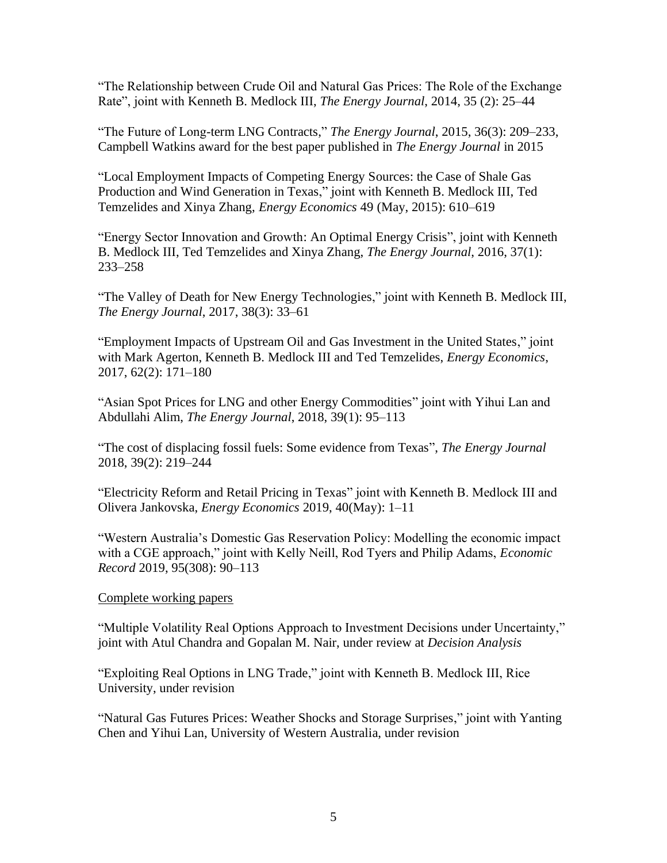"The Relationship between Crude Oil and Natural Gas Prices: The Role of the Exchange Rate", joint with Kenneth B. Medlock III, *The Energy Journal*, 2014, 35 (2): 25–44

"The Future of Long-term LNG Contracts," *The Energy Journal*, 2015, 36(3): 209–233, Campbell Watkins award for the best paper published in *The Energy Journal* in 2015

"Local Employment Impacts of Competing Energy Sources: the Case of Shale Gas Production and Wind Generation in Texas," joint with Kenneth B. Medlock III, Ted Temzelides and Xinya Zhang, *Energy Economics* 49 (May, 2015): 610–619

"Energy Sector Innovation and Growth: An Optimal Energy Crisis", joint with Kenneth B. Medlock III, Ted Temzelides and Xinya Zhang, *The Energy Journal*, 2016, 37(1): 233–258

"The Valley of Death for New Energy Technologies," joint with Kenneth B. Medlock III, *The Energy Journal*, 2017, 38(3): 33–61

"Employment Impacts of Upstream Oil and Gas Investment in the United States," joint with Mark Agerton, Kenneth B. Medlock III and Ted Temzelides, *Energy Economics*, 2017, 62(2): 171–180

"Asian Spot Prices for LNG and other Energy Commodities" joint with Yihui Lan and Abdullahi Alim, *The Energy Journal*, 2018, 39(1): 95–113

"The cost of displacing fossil fuels: Some evidence from Texas", *The Energy Journal* 2018, 39(2): 219–244

"Electricity Reform and Retail Pricing in Texas" joint with Kenneth B. Medlock III and Olivera Jankovska, *Energy Economics* 2019, 40(May): 1–11

"Western Australia's Domestic Gas Reservation Policy: Modelling the economic impact with a CGE approach," joint with Kelly Neill, Rod Tyers and Philip Adams, *Economic Record* 2019, 95(308): 90–113

Complete working papers

"Multiple Volatility Real Options Approach to Investment Decisions under Uncertainty," joint with Atul Chandra and Gopalan M. Nair, under review at *Decision Analysis*

"Exploiting Real Options in LNG Trade," joint with Kenneth B. Medlock III, Rice University, under revision

"Natural Gas Futures Prices: Weather Shocks and Storage Surprises," joint with Yanting Chen and Yihui Lan, University of Western Australia, under revision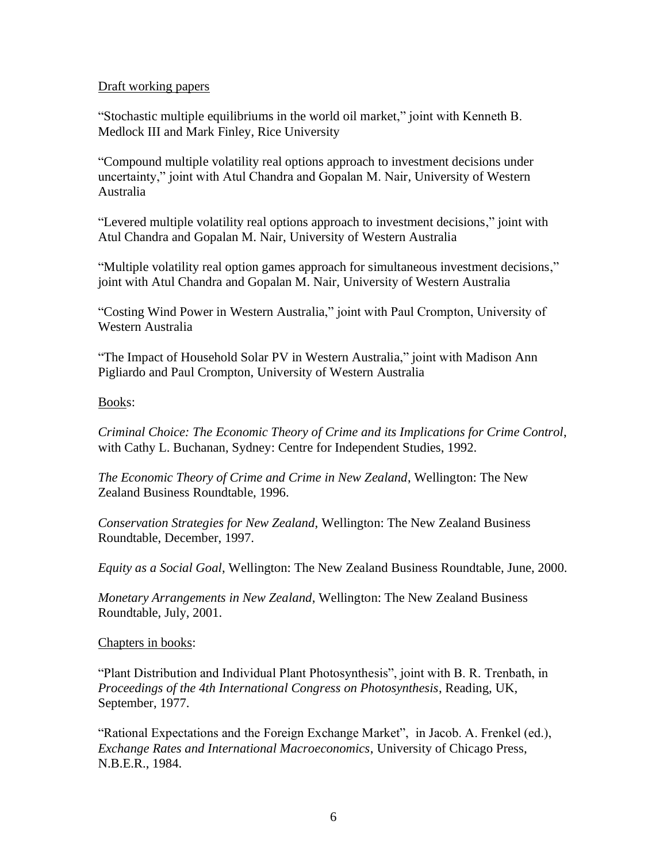#### Draft working papers

"Stochastic multiple equilibriums in the world oil market," joint with Kenneth B. Medlock III and Mark Finley, Rice University

"Compound multiple volatility real options approach to investment decisions under uncertainty," joint with Atul Chandra and Gopalan M. Nair, University of Western Australia

"Levered multiple volatility real options approach to investment decisions," joint with Atul Chandra and Gopalan M. Nair, University of Western Australia

"Multiple volatility real option games approach for simultaneous investment decisions," joint with Atul Chandra and Gopalan M. Nair, University of Western Australia

"Costing Wind Power in Western Australia," joint with Paul Crompton, University of Western Australia

"The Impact of Household Solar PV in Western Australia," joint with Madison Ann Pigliardo and Paul Crompton, University of Western Australia

## Books:

*Criminal Choice: The Economic Theory of Crime and its Implications for Crime Control*, with Cathy L. Buchanan, Sydney: Centre for Independent Studies, 1992.

*The Economic Theory of Crime and Crime in New Zealand*, Wellington: The New Zealand Business Roundtable, 1996.

*Conservation Strategies for New Zealand*, Wellington: The New Zealand Business Roundtable, December, 1997.

*Equity as a Social Goal*, Wellington: The New Zealand Business Roundtable, June, 2000.

*Monetary Arrangements in New Zealand*, Wellington: The New Zealand Business Roundtable, July, 2001.

## Chapters in books:

"Plant Distribution and Individual Plant Photosynthesis", joint with B. R. Trenbath, in *Proceedings of the 4th International Congress on Photosynthesis*, Reading, UK, September, 1977.

"Rational Expectations and the Foreign Exchange Market", in Jacob. A. Frenkel (ed.), *Exchange Rates and International Macroeconomics*, University of Chicago Press, N.B.E.R., 1984.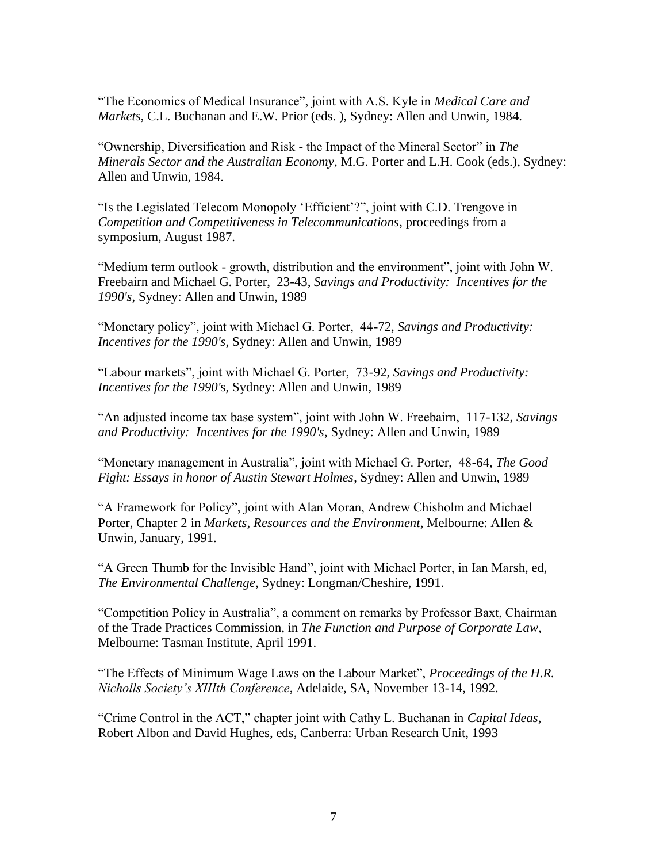"The Economics of Medical Insurance", joint with A.S. Kyle in *Medical Care and Markets*, C.L. Buchanan and E.W. Prior (eds. ), Sydney: Allen and Unwin, 1984.

"Ownership, Diversification and Risk - the Impact of the Mineral Sector" in *The Minerals Sector and the Australian Economy*, M.G. Porter and L.H. Cook (eds.), Sydney: Allen and Unwin, 1984.

"Is the Legislated Telecom Monopoly 'Efficient'?", joint with C.D. Trengove in *Competition and Competitiveness in Telecommunications*, proceedings from a symposium, August 1987.

"Medium term outlook - growth, distribution and the environment", joint with John W. Freebairn and Michael G. Porter, 23-43, *Savings and Productivity: Incentives for the 1990's*, Sydney: Allen and Unwin, 1989

"Monetary policy", joint with Michael G. Porter, 44-72, *Savings and Productivity: Incentives for the 1990's*, Sydney: Allen and Unwin, 1989

"Labour markets", joint with Michael G. Porter, 73-92, *Savings and Productivity: Incentives for the 1990'*s, Sydney: Allen and Unwin, 1989

"An adjusted income tax base system", joint with John W. Freebairn, 117-132, *Savings and Productivity: Incentives for the 1990's*, Sydney: Allen and Unwin, 1989

"Monetary management in Australia", joint with Michael G. Porter, 48-64, *The Good Fight: Essays in honor of Austin Stewart Holmes*, Sydney: Allen and Unwin, 1989

"A Framework for Policy", joint with Alan Moran, Andrew Chisholm and Michael Porter, Chapter 2 in *Markets, Resources and the Environment*, Melbourne: Allen & Unwin, January, 1991.

"A Green Thumb for the Invisible Hand", joint with Michael Porter, in Ian Marsh, ed, *The Environmental Challenge*, Sydney: Longman/Cheshire, 1991.

"Competition Policy in Australia", a comment on remarks by Professor Baxt, Chairman of the Trade Practices Commission, in *The Function and Purpose of Corporate Law*, Melbourne: Tasman Institute, April 1991.

"The Effects of Minimum Wage Laws on the Labour Market", *Proceedings of the H.R. Nicholls Society's XIIIth Conference*, Adelaide, SA, November 13-14, 1992.

"Crime Control in the ACT," chapter joint with Cathy L. Buchanan in *Capital Ideas*, Robert Albon and David Hughes, eds, Canberra: Urban Research Unit, 1993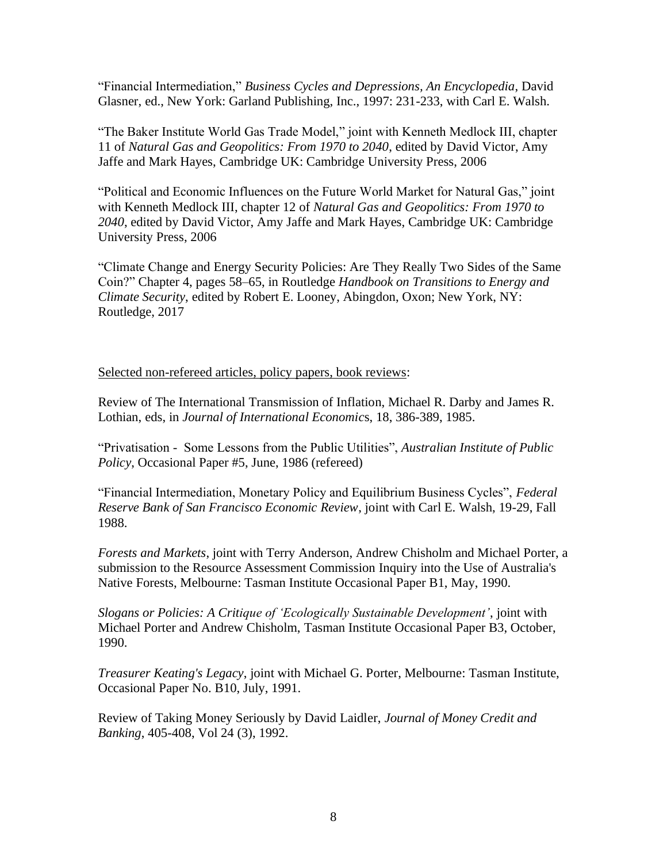"Financial Intermediation," *Business Cycles and Depressions, An Encyclopedia*, David Glasner, ed., New York: Garland Publishing, Inc., 1997: 231-233, with Carl E. Walsh.

"The Baker Institute World Gas Trade Model," joint with Kenneth Medlock III, chapter 11 of *Natural Gas and Geopolitics: From 1970 to 2040*, edited by David Victor, Amy Jaffe and Mark Hayes, Cambridge UK: Cambridge University Press, 2006

"Political and Economic Influences on the Future World Market for Natural Gas," joint with Kenneth Medlock III, chapter 12 of *Natural Gas and Geopolitics: From 1970 to 2040*, edited by David Victor, Amy Jaffe and Mark Hayes, Cambridge UK: Cambridge University Press, 2006

"Climate Change and Energy Security Policies: Are They Really Two Sides of the Same Coin?" Chapter 4, pages 58–65, in Routledge *Handbook on Transitions to Energy and Climate Security*, edited by Robert E. Looney, Abingdon, Oxon; New York, NY: Routledge, 2017

#### Selected non-refereed articles, policy papers, book reviews:

Review of The International Transmission of Inflation, Michael R. Darby and James R. Lothian, eds, in *Journal of International Economic*s, 18, 386-389, 1985.

"Privatisation - Some Lessons from the Public Utilities", *Australian Institute of Public Policy*, Occasional Paper #5, June, 1986 (refereed)

"Financial Intermediation, Monetary Policy and Equilibrium Business Cycles", *Federal Reserve Bank of San Francisco Economic Review*, joint with Carl E. Walsh, 19-29, Fall 1988.

*Forests and Markets*, joint with Terry Anderson, Andrew Chisholm and Michael Porter, a submission to the Resource Assessment Commission Inquiry into the Use of Australia's Native Forests, Melbourne: Tasman Institute Occasional Paper B1, May, 1990.

*Slogans or Policies: A Critique of 'Ecologically Sustainable Development'*, joint with Michael Porter and Andrew Chisholm, Tasman Institute Occasional Paper B3, October, 1990.

*Treasurer Keating's Legacy*, joint with Michael G. Porter, Melbourne: Tasman Institute, Occasional Paper No. B10, July, 1991.

Review of Taking Money Seriously by David Laidler, *Journal of Money Credit and Banking*, 405-408, Vol 24 (3), 1992.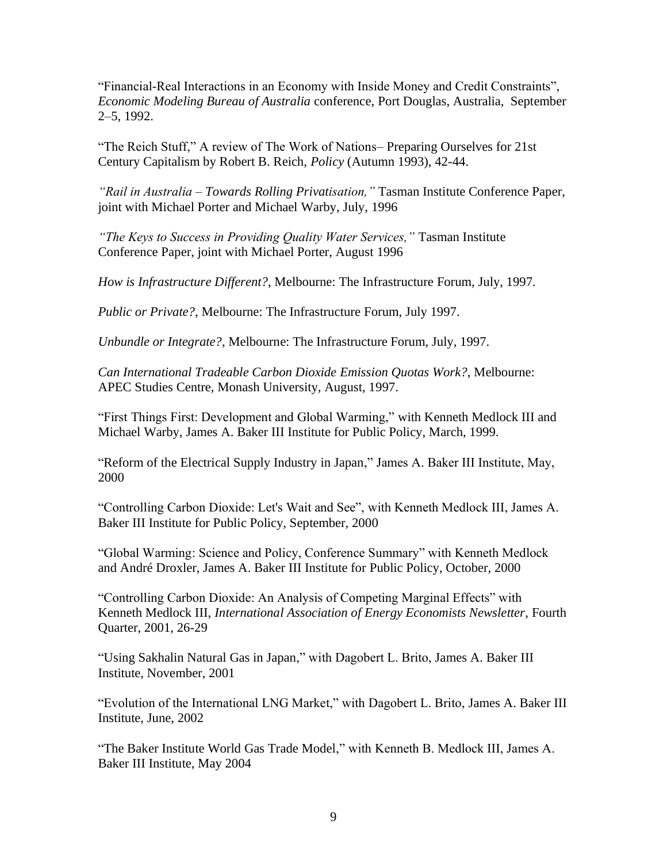"Financial-Real Interactions in an Economy with Inside Money and Credit Constraints", *Economic Modeling Bureau of Australia* conference, Port Douglas, Australia, September 2–5, 1992.

"The Reich Stuff," A review of The Work of Nations– Preparing Ourselves for 21st Century Capitalism by Robert B. Reich, *Policy* (Autumn 1993), 42-44.

*"Rail in Australia – Towards Rolling Privatisation,"* Tasman Institute Conference Paper, joint with Michael Porter and Michael Warby, July, 1996

*"The Keys to Success in Providing Quality Water Services,"* Tasman Institute Conference Paper, joint with Michael Porter, August 1996

*How is Infrastructure Different?*, Melbourne: The Infrastructure Forum, July, 1997.

*Public or Private?*, Melbourne: The Infrastructure Forum, July 1997.

*Unbundle or Integrate?*, Melbourne: The Infrastructure Forum, July, 1997.

*Can International Tradeable Carbon Dioxide Emission Quotas Work?*, Melbourne: APEC Studies Centre, Monash University, August, 1997.

"First Things First: Development and Global Warming," with Kenneth Medlock III and Michael Warby, James A. Baker III Institute for Public Policy, March, 1999.

"Reform of the Electrical Supply Industry in Japan," James A. Baker III Institute, May, 2000

"Controlling Carbon Dioxide: Let's Wait and See", with Kenneth Medlock III, James A. Baker III Institute for Public Policy, September, 2000

"Global Warming: Science and Policy, Conference Summary" with Kenneth Medlock and André Droxler, James A. Baker III Institute for Public Policy, October, 2000

"Controlling Carbon Dioxide: An Analysis of Competing Marginal Effects" with Kenneth Medlock III, *International Association of Energy Economists Newsletter*, Fourth Quarter, 2001, 26-29

"Using Sakhalin Natural Gas in Japan," with Dagobert L. Brito, James A. Baker III Institute, November, 2001

"Evolution of the International LNG Market," with Dagobert L. Brito, James A. Baker III Institute, June, 2002

"The Baker Institute World Gas Trade Model," with Kenneth B. Medlock III, James A. Baker III Institute, May 2004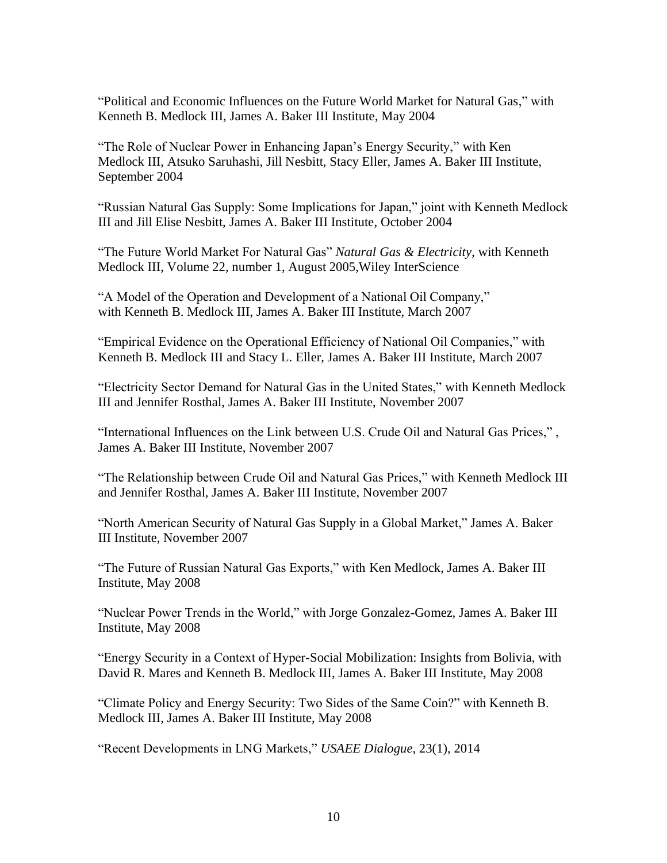"Political and Economic Influences on the Future World Market for Natural Gas," with Kenneth B. Medlock III, James A. Baker III Institute, May 2004

"The Role of Nuclear Power in Enhancing Japan's Energy Security," with Ken Medlock III, Atsuko Saruhashi, Jill Nesbitt, Stacy Eller, James A. Baker III Institute, September 2004

"Russian Natural Gas Supply: Some Implications for Japan," joint with Kenneth Medlock III and Jill Elise Nesbitt, James A. Baker III Institute, October 2004

"The Future World Market For Natural Gas" *Natural Gas & Electricity*, with Kenneth Medlock III, Volume 22, number 1, August 2005,Wiley InterScience

"A Model of the Operation and Development of a National Oil Company," with Kenneth B. Medlock III, James A. Baker III Institute, March 2007

"Empirical Evidence on the Operational Efficiency of National Oil Companies," with Kenneth B. Medlock III and Stacy L. Eller, James A. Baker III Institute, March 2007

"Electricity Sector Demand for Natural Gas in the United States," with Kenneth Medlock III and Jennifer Rosthal, James A. Baker III Institute, November 2007

"International Influences on the Link between U.S. Crude Oil and Natural Gas Prices," , James A. Baker III Institute, November 2007

"The Relationship between Crude Oil and Natural Gas Prices," with Kenneth Medlock III and Jennifer Rosthal, James A. Baker III Institute, November 2007

"North American Security of Natural Gas Supply in a Global Market," James A. Baker III Institute, November 2007

"The Future of Russian Natural Gas Exports," with Ken Medlock, James A. Baker III Institute, May 2008

"Nuclear Power Trends in the World," with Jorge Gonzalez-Gomez, James A. Baker III Institute, May 2008

"Energy Security in a Context of Hyper-Social Mobilization: Insights from Bolivia, with David R. Mares and Kenneth B. Medlock III, James A. Baker III Institute, May 2008

"Climate Policy and Energy Security: Two Sides of the Same Coin?" with Kenneth B. Medlock III, James A. Baker III Institute, May 2008

"Recent Developments in LNG Markets," *USAEE Dialogue*, 23(1), 2014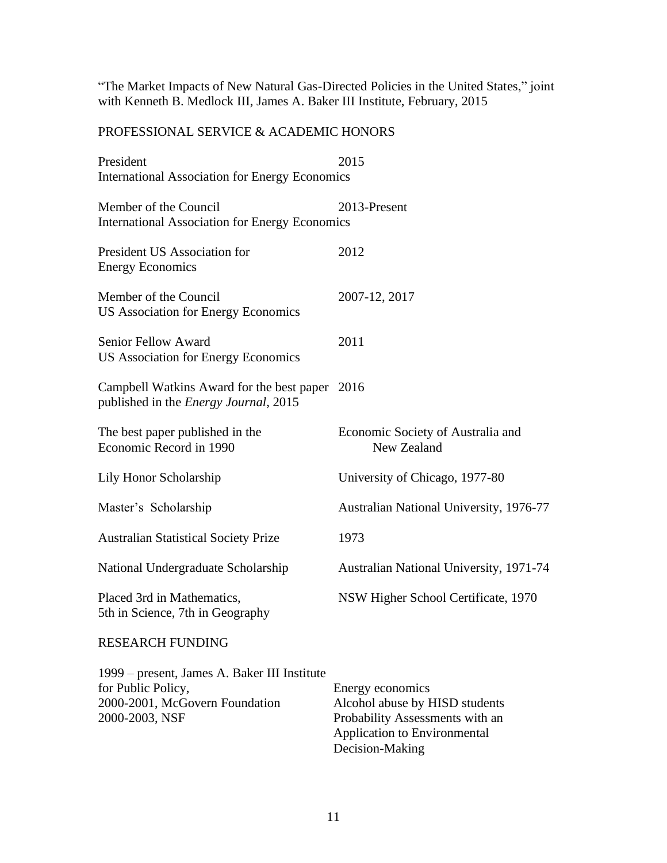"The Market Impacts of New Natural Gas-Directed Policies in the United States," joint with Kenneth B. Medlock III, James A. Baker III Institute, February, 2015

# PROFESSIONAL SERVICE & ACADEMIC HONORS

| President                                                                                                              | 2015                                                                                                                                     |
|------------------------------------------------------------------------------------------------------------------------|------------------------------------------------------------------------------------------------------------------------------------------|
| <b>International Association for Energy Economics</b>                                                                  |                                                                                                                                          |
| Member of the Council<br><b>International Association for Energy Economics</b>                                         | 2013-Present                                                                                                                             |
| President US Association for<br><b>Energy Economics</b>                                                                | 2012                                                                                                                                     |
| Member of the Council<br><b>US Association for Energy Economics</b>                                                    | 2007-12, 2017                                                                                                                            |
| Senior Fellow Award<br><b>US Association for Energy Economics</b>                                                      | 2011                                                                                                                                     |
| Campbell Watkins Award for the best paper 2016<br>published in the <i>Energy Journal</i> , 2015                        |                                                                                                                                          |
| The best paper published in the<br>Economic Record in 1990                                                             | Economic Society of Australia and<br>New Zealand                                                                                         |
| Lily Honor Scholarship                                                                                                 | University of Chicago, 1977-80                                                                                                           |
| Master's Scholarship                                                                                                   | <b>Australian National University, 1976-77</b>                                                                                           |
| <b>Australian Statistical Society Prize</b>                                                                            | 1973                                                                                                                                     |
| National Undergraduate Scholarship                                                                                     | Australian National University, 1971-74                                                                                                  |
| Placed 3rd in Mathematics,<br>5th in Science, 7th in Geography                                                         | NSW Higher School Certificate, 1970                                                                                                      |
| <b>RESEARCH FUNDING</b>                                                                                                |                                                                                                                                          |
| 1999 – present, James A. Baker III Institute<br>for Public Policy,<br>2000-2001, McGovern Foundation<br>2000-2003, NSF | Energy economics<br>Alcohol abuse by HISD students<br>Probability Assessments with an<br>Application to Environmental<br>Decision-Making |